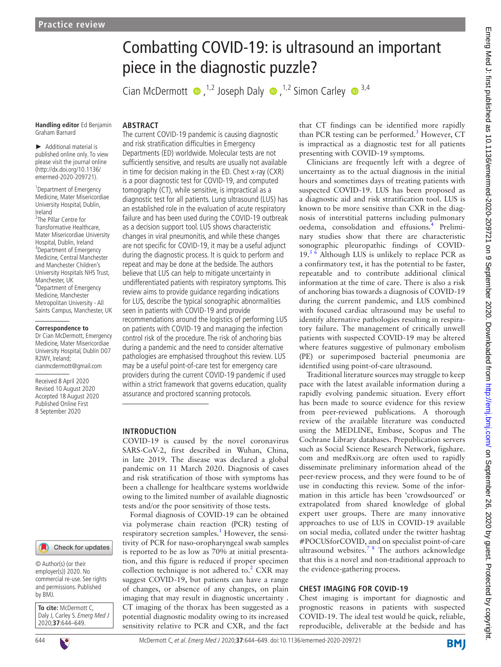# Combatting COVID-19: is ultrasound an important piece in the diagnostic puzzle?

CianMcDermott  $\bullet$ ,<sup>1,2</sup> Joseph Daly  $\bullet$ ,<sup>1,2</sup> Simon Carley  $\bullet$ <sup>3,4</sup>

**Handling editor** Ed Benjamin Graham Barnard

► Additional material is published online only. To view please visit the journal online (http://dx.doi.org/10.1136/ emermed-2020-209721).

1 Department of Emergency Medicine, Mater Misericordiae University Hospital, Dublin, Ireland

2 The Pillar Centre for Transformative Healthcare, Mater Misericordiae University Hospital, Dublin, Ireland <sup>3</sup>Department of Emergency Medicine, Central Manchester and Manchester Children's University Hospitals NHS Trust, Manchester, UK 4 Department of Emergency Medicine, Manchester Metropolitan University - All Saints Campus, Manchester, UK

#### **Correspondence to**

Dr Cian McDermott, Emergency Medicine, Mater Misericordiae University Hospital, Dublin D07 R<sub>2</sub>WY Ireland<sup>;</sup> cianmcdermott@gmail.com

Received 8 April 2020 Revised 10 August 2020 Accepted 18 August 2020 Published Online First 8 September 2020



© Author(s) (or their employer(s)) 2020. No commercial re-use. See rights and permissions. Published by BMJ.

**To cite:** McDermott C, Daly J, Carley S. Emerg Med J 2020;**37**:644–649.

### **ARSTRACT**

The current COVID-19 pandemic is causing diagnostic and risk stratification difficulties in Emergency Departments (ED) worldwide. Molecular tests are not sufficiently sensitive, and results are usually not available in time for decision making in the ED. Chest x-ray (CXR) is a poor diagnostic test for COVID-19, and computed tomography (CT), while sensitive, is impractical as a diagnostic test for all patients. Lung ultrasound (LUS) has an established role in the evaluation of acute respiratory failure and has been used during the COVID-19 outbreak as a decision support tool. LUS shows characteristic changes in viral pneumonitis, and while these changes are not specific for COVID-19, it may be a useful adjunct during the diagnostic process. It is quick to perform and repeat and may be done at the bedside. The authors believe that LUS can help to mitigate uncertainty in undifferentiated patients with respiratory symptoms. This review aims to provide guidance regarding indications for LUS, describe the typical sonographic abnormalities seen in patients with COVID-19 and provide recommendations around the logistics of performing LUS on patients with COVID-19 and managing the infection control risk of the procedure. The risk of anchoring bias during a pandemic and the need to consider alternative pathologies are emphasised throughout this review. LUS may be a useful point-of-care test for emergency care providers during the current COVID-19 pandemic if used within a strict framework that governs education, quality assurance and proctored scanning protocols.

#### **INTRODUCTION**

COVID-19 is caused by the novel coronavirus SARS-CoV-2, first described in Wuhan, China, in late 2019. The disease was declared a global pandemic on 11 March 2020. Diagnosis of cases and risk stratification of those with symptoms has been a challenge for healthcare systems worldwide owing to the limited number of available diagnostic tests and/or the poor sensitivity of those tests.

Formal diagnosis of COVID-19 can be obtained via polymerase chain reaction (PCR) testing of respiratory secretion samples.<sup>1</sup> However, the sensitivity of PCR for naso-oropharyngeal swab samples is reported to be as low as 70% at initial presentation, and this figure is reduced if proper specimen collection technique is not adhered to. $<sup>2</sup>$  $<sup>2</sup>$  $<sup>2</sup>$  CXR may</sup> suggest COVID-19, but patients can have a range of changes, or absence of any changes, on plain imaging that may result in diagnostic uncertainty . CT imaging of the thorax has been suggested as a potential diagnostic modality owing to its increased sensitivity relative to PCR and CXR, and the fact

that CT findings can be identified more rapidly than PCR testing can be performed.<sup>[3](#page-4-2)</sup> However, CT is impractical as a diagnostic test for all patients presenting with COVID-19 symptoms.

Clinicians are frequently left with a degree of uncertainty as to the actual diagnosis in the initial hours and sometimes days of treating patients with suspected COVID-19. LUS has been proposed as a diagnostic aid and risk stratification tool. LUS is known to be more sensitive than CXR in the diagnosis of interstitial patterns including pulmonary oedema, consolidation and effusions.<sup>4</sup> Preliminary studies show that there are characteristic sonographic pleuropathic findings of COVID- $19.^{56}$  Although LUS is unlikely to replace PCR as a confirmatory test, it has the potential to be faster, repeatable and to contribute additional clinical information at the time of care. There is also a risk of anchoring bias towards a diagnosis of COVID-19 during the current pandemic, and LUS combined with focused cardiac ultrasound may be useful to identify alternative pathologies resulting in respiratory failure. The management of critically unwell patients with suspected COVID-19 may be altered where features suggestive of pulmonary embolism (PE) or superimposed bacterial pneumonia are identified using point-of-care ultrasound.

Traditional literature sources may struggle to keep pace with the latest available information during a rapidly evolving pandemic situation. Every effort has been made to source evidence for this review from peer-reviewed publications. A thorough review of the available literature was conducted using the MEDLINE, Embase, Scopus and The Cochrane Library databases. Prepublication servers such as Social Science Research Network, figshare. com and medRxiv.org are often used to rapidly disseminate preliminary information ahead of the peer-review process, and they were found to be of use in conducting this review. Some of the information in this article has been 'crowdsourced' or extrapolated from shared knowledge of global expert user groups. There are many innovative approaches to use of LUS in COVID-19 available on social media, collated under the twitter hashtag #POCUSforCOVID, and on specialist point-of-care ultrasound websites.<sup>7</sup> <sup>8</sup> The authors acknowledge that this is a novel and non-traditional approach to the evidence-gathering process.

#### **CHEST IMAGING FOR COVID-19**

Chest imaging is important for diagnostic and prognostic reasons in patients with suspected COVID-19. The ideal test would be quick, reliable, reproducible, deliverable at the bedside and has

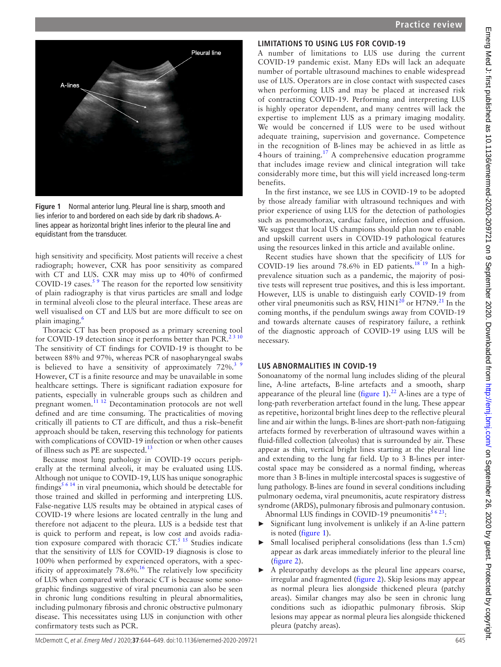

**Figure 1** Normal anterior lung. Pleural line is sharp, smooth and lies inferior to and bordered on each side by dark rib shadows. Alines appear as horizontal bright lines inferior to the pleural line and equidistant from the transducer.

<span id="page-1-0"></span>high sensitivity and specificity. Most patients will receive a chest radiograph; however, CXR has poor sensitivity as compared with CT and LUS. CXR may miss up to 40% of confirmed COVID-19 cases. $59$  The reason for the reported low sensitivity of plain radiography is that virus particles are small and lodge in terminal alveoli close to the pleural interface. These areas are well visualised on CT and LUS but are more difficult to see on plain imaging.[6](#page-4-6)

Thoracic CT has been proposed as a primary screening tool for COVID-19 detection since it performs better than  $PCR^{2310}$ . The sensitivity of CT findings for COVID-19 is thought to be between 88% and 97%, whereas PCR of nasopharyngeal swabs is believed to have a sensitivity of approximately  $72\%$ .<sup>3</sup> However, CT is a finite resource and may be unavailable in some healthcare settings. There is significant radiation exposure for patients, especially in vulnerable groups such as children and pregnant women.[11 12](#page-4-7) Decontamination protocols are not well defined and are time consuming. The practicalities of moving critically ill patients to CT are difficult, and thus a risk–benefit approach should be taken, reserving this technology for patients with complications of COVID-19 infection or when other causes of illness such as PE are suspected.<sup>[13](#page-4-8)</sup>

Because most lung pathology in COVID-19 occurs peripherally at the terminal alveoli, it may be evaluated using LUS. Although not unique to COVID-19, LUS has unique sonographic findings<sup>[5 6 14](#page-4-4)</sup> in viral pneumonia, which should be detectable for those trained and skilled in performing and interpreting LUS. False-negative LUS results may be obtained in atypical cases of COVID-19 where lesions are located centrally in the lung and therefore not adjacent to the pleura. LUS is a bedside test that is quick to perform and repeat, is low cost and avoids radiation exposure compared with thoracic  $CT$ .<sup>5 15</sup> Studies indicate that the sensitivity of LUS for COVID-19 diagnosis is close to 100% when performed by experienced operators, with a spec-ificity of approximately 78.6%.<sup>[16](#page-4-9)</sup> The relatively low specificity of LUS when compared with thoracic CT is because some sonographic findings suggestive of viral pneumonia can also be seen in chronic lung conditions resulting in pleural abnormalities, including pulmonary fibrosis and chronic obstructive pulmonary disease. This necessitates using LUS in conjunction with other confirmatory tests such as PCR.

### **LIMITATIONS TO USING LUS FOR COVID-19**

A number of limitations to LUS use during the current COVID-19 pandemic exist. Many EDs will lack an adequate number of portable ultrasound machines to enable widespread use of LUS. Operators are in close contact with suspected cases when performing LUS and may be placed at increased risk of contracting COVID-19. Performing and interpreting LUS is highly operator dependent, and many centres will lack the expertise to implement LUS as a primary imaging modality. We would be concerned if LUS were to be used without adequate training, supervision and governance. Competence in the recognition of B-lines may be achieved in as little as 4 hours of training.[17](#page-4-10) A comprehensive education programme that includes image review and clinical integration will take considerably more time, but this will yield increased long-term benefits.

In the first instance, we see LUS in COVID-19 to be adopted by those already familiar with ultrasound techniques and with prior experience of using LUS for the detection of pathologies such as pneumothorax, cardiac failure, infection and effusion. We suggest that local US champions should plan now to enable and upskill current users in COVID-19 pathological features using the resources linked in this article and available online.

Recent studies have shown that the specificity of LUS for COVID-19 lies around 78.6% in ED patients.<sup>18 19</sup> In a highprevalence situation such as a pandemic, the majority of positive tests will represent true positives, and this is less important. However, LUS is unable to distinguish early COVID-19 from other viral pneumonitis such as RSV,  $H1N1^{20}$  or  $H7N9$ .<sup>[21](#page-5-0)</sup> In the coming months, if the pendulum swings away from COVID-19 and towards alternate causes of respiratory failure, a rethink of the diagnostic approach of COVID-19 using LUS will be necessary.

### **LUS ABNORMALITIES IN COVID-19**

Sonoanatomy of the normal lung includes sliding of the pleural line, A-line artefacts, B-line artefacts and a smooth, sharp appearance of the pleural line ([figure](#page-1-0) 1).<sup>[22](#page-5-1)</sup> A-lines are a type of long-path reverberation artefact found in the lung. These appear as repetitive, horizontal bright lines deep to the reflective pleural line and air within the lungs. B-lines are short-path non-fatiguing artefacts formed by reverberation of ultrasound waves within a fluid-filled collection (alveolus) that is surrounded by air. These appear as thin, vertical bright lines starting at the pleural line and extending to the lung far field. Up to 3 B-lines per intercostal space may be considered as a normal finding, whereas more than 3 B-lines in multiple intercostal spaces is suggestive of lung pathology. B-lines are found in several conditions including pulmonary oedema, viral pneumonitis, acute respiratory distress syndrome (ARDS), pulmonary fibrosis and pulmonary contusion.

Abnormal LUS findings in COVID-19 pneumonitis $5623$ :

- Significant lung involvement is unlikely if an A-line pattern is noted [\(figure](#page-1-0) 1).
- Small localised peripheral consolidations (less than 1.5 cm) appear as dark areas immediately inferior to the pleural line [\(figure](#page-2-0) 2).
- A pleuropathy develops as the pleural line appears coarse, irregular and fragmented ([figure](#page-2-0) 2). Skip lesions may appear as normal pleura lies alongside thickened pleura (patchy areas). Similar changes may also be seen in chronic lung conditions such as idiopathic pulmonary fibrosis. Skip lesions may appear as normal pleura lies alongside thickened pleura (patchy areas).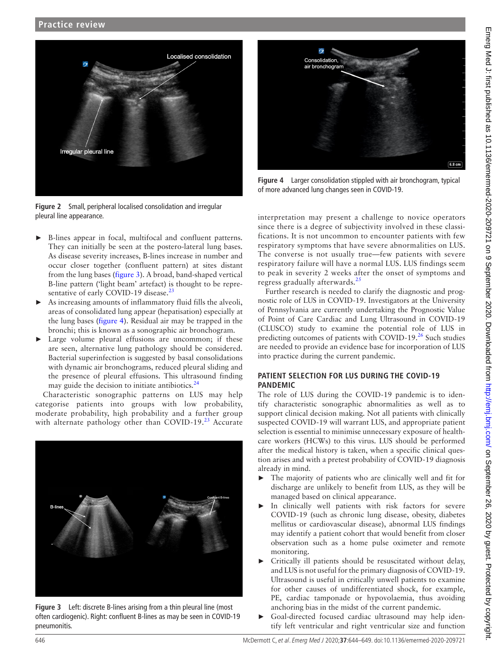

**Figure 2** Small, peripheral localised consolidation and irregular pleural line appearance.

- <span id="page-2-0"></span>B-lines appear in focal, multifocal and confluent patterns. They can initially be seen at the postero-lateral lung bases. As disease severity increases, B-lines increase in number and occur closer together (confluent pattern) at sites distant from the lung bases ([figure](#page-2-1) 3). A broad, band-shaped vertical B-line pattern ('light beam' artefact) is thought to be repre-sentative of early COVID-19 disease.<sup>[23](#page-5-2)</sup>
- As increasing amounts of inflammatory fluid fills the alveoli, areas of consolidated lung appear (hepatisation) especially at the lung bases [\(figure](#page-2-2) 4). Residual air may be trapped in the bronchi; this is known as a sonographic air bronchogram.
- ► Large volume pleural effusions are uncommon; if these are seen, alternative lung pathology should be considered. Bacterial superinfection is suggested by basal consolidations with dynamic air bronchograms, reduced pleural sliding and the presence of pleural effusions. This ultrasound finding may guide the decision to initiate antibiotics. $24$

Characteristic sonographic patterns on LUS may help categorise patients into groups with low probability, moderate probability, high probability and a further group with alternate pathology other than COVID-19.<sup>23</sup> Accurate

<span id="page-2-1"></span>

**Figure 3** Left: discrete B-lines arising from a thin pleural line (most often cardiogenic). Right: confluent B-lines as may be seen in COVID-19 pneumonitis.



**Figure 4** Larger consolidation stippled with air bronchogram, typical of more advanced lung changes seen in COVID-19.

<span id="page-2-2"></span>interpretation may present a challenge to novice operators since there is a degree of subjectivity involved in these classifications. It is not uncommon to encounter patients with few respiratory symptoms that have severe abnormalities on LUS. The converse is not usually true—few patients with severe respiratory failure will have a normal LUS. LUS findings seem to peak in severity 2 weeks after the onset of symptoms and regress gradually afterwards. $25$ 

Further research is needed to clarify the diagnostic and prognostic role of LUS in COVID-19. Investigators at the University of Pennsylvania are currently undertaking the Prognostic Value of Point of Care Cardiac and Lung Ultrasound in COVID-19 (CLUSCO) study to examine the potential role of LUS in predicting outcomes of patients with COVID-19. $^{26}$  $^{26}$  $^{26}$  Such studies are needed to provide an evidence base for incorporation of LUS into practice during the current pandemic.

#### **PATIENT SELECTION FOR LUS DURING THE COVID-19 PANDEMIC**

The role of LUS during the COVID-19 pandemic is to identify characteristic sonographic abnormalities as well as to support clinical decision making. Not all patients with clinically suspected COVID-19 will warrant LUS, and appropriate patient selection is essential to minimise unnecessary exposure of healthcare workers (HCWs) to this virus. LUS should be performed after the medical history is taken, when a specific clinical question arises and with a pretest probability of COVID-19 diagnosis already in mind.

- The majority of patients who are clinically well and fit for discharge are unlikely to benefit from LUS, as they will be managed based on clinical appearance.
- In clinically well patients with risk factors for severe COVID-19 (such as chronic lung disease, obesity, diabetes mellitus or cardiovascular disease), abnormal LUS findings may identify a patient cohort that would benefit from closer observation such as a home pulse oximeter and remote monitoring.
- ► Critically ill patients should be resuscitated without delay, and LUS is not useful for the primary diagnosis of COVID-19. Ultrasound is useful in critically unwell patients to examine for other causes of undifferentiated shock, for example, PE, cardiac tamponade or hypovolaemia, thus avoiding anchoring bias in the midst of the current pandemic.
- Goal-directed focused cardiac ultrasound may help identify left ventricular and right ventricular size and function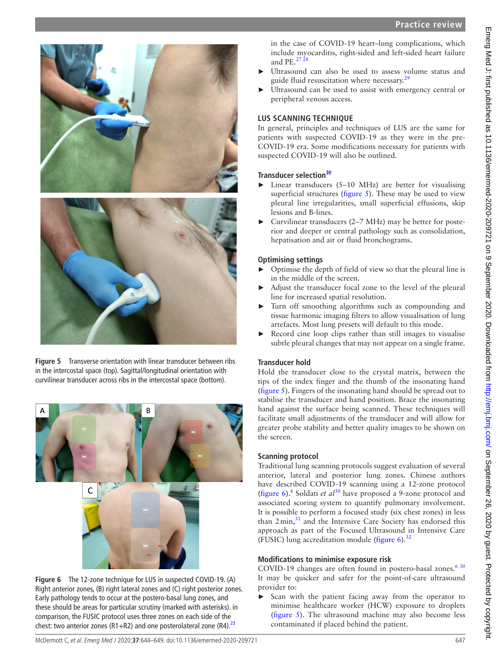

**Figure 5** Transverse orientation with linear transducer between ribs in the intercostal space (top). Sagittal/longitudinal orientation with curvilinear transducer across ribs in the intercostal space (bottom).

<span id="page-3-1"></span><span id="page-3-0"></span>

**Figure 6** The 12-zone technique for LUS in suspected COVID-19. (A) Right anterior zones, (B) right lateral zones and (C) right posterior zones. Early pathology tends to occur at the postero-basal lung zones, and these should be areas for particular scrutiny (marked with asterisks). in comparison, the FUSIC protocol uses three zones on each side of the chest: two anterior zones (R1+R2) and one posterolateral zone (R4).<sup>23</sup>

in the case of COVID-19 heart–lung complications, which include myocarditis, right-sided and left-sided heart failure and PE. $^{27\,28}$ 

- Ultrasound can also be used to assess volume status and guide fluid resuscitation where necessary. $^{29}$  $^{29}$  $^{29}$
- Ultrasound can be used to assist with emergency central or peripheral venous access.

### **LUS SCANNING TECHNIQUE**

In general, principles and techniques of LUS are the same for patients with suspected COVID-19 as they were in the pre-COVID-19 era. Some modifications necessary for patients with suspected COVID-19 will also be outlined.

### **Transducer selection[30](#page-5-8)**

- Linear transducers  $(5-10 \text{ MHz})$  are better for visualising superficial structures [\(figure](#page-3-0) 5). These may be used to view pleural line irregularities, small superficial effusions, skip lesions and B-lines.
- ► Curvilinear transducers (2–7 MHz) may be better for posterior and deeper or central pathology such as consolidation, hepatisation and air or fluid bronchograms.

### **Optimising settings**

- ► Optimise the depth of field of view so that the pleural line is in the middle of the screen.
- Adjust the transducer focal zone to the level of the pleural line for increased spatial resolution.
- Turn off smoothing algorithms such as compounding and tissue harmonic imaging filters to allow visualisation of lung artefacts. Most lung presets will default to this mode.
- ► Record cine loop clips rather than still images to visualise subtle pleural changes that may not appear on a single frame.

## **Transducer hold**

Hold the transducer close to the crystal matrix, between the tips of the index finger and the thumb of the insonating hand ([figure](#page-3-0) 5). Fingers of the insonating hand should be spread out to stabilise the transducer and hand position. Brace the insonating hand against the surface being scanned. These techniques will facilitate small adjustments of the transducer and will allow for greater probe stability and better quality images to be shown on the screen.

## **Scanning protocol**

Traditional lung scanning protocols suggest evaluation of several anterior, lateral and posterior lung zones. Chinese authors have described COVID-19 scanning using a 12-zone protocol ([figure](#page-3-1)  $6$ ).<sup>6</sup> Soldati *et al*<sup>30</sup> have proposed a 9-zone protocol and associated scoring system to quantify pulmonary involvement. It is possible to perform a focused study (six chest zones) in less than  $2 \text{min}$ , $31$  and the Intensive Care Society has endorsed this approach as part of the Focused Ultrasound in Intensive Care (FUSIC) lung accreditation module [\(figure](#page-3-1)  $6$ ).<sup>[32](#page-5-10)</sup>

## **Modifications to minimise exposure risk**

COVID-19 changes are often found in postero-basal zones.<sup>630</sup> It may be quicker and safer for the point-of-care ultrasound provider to:

► Scan with the patient facing away from the operator to minimise healthcare worker (HCW) exposure to droplets [\(figure](#page-3-0) 5). The ultrasound machine may also become less contaminated if placed behind the patient.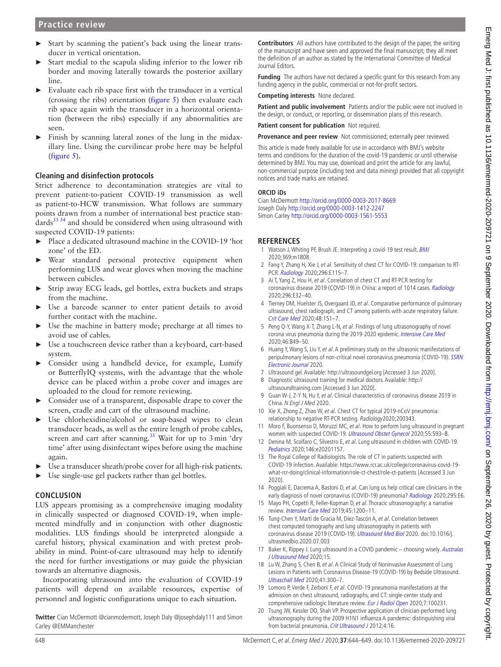- ► Start by scanning the patient's back using the linear transducer in vertical orientation.
- Start medial to the scapula sliding inferior to the lower rib border and moving laterally towards the posterior axillary line.
- Evaluate each rib space first with the transducer in a vertical (crossing the ribs) orientation [\(figure](#page-3-0) 5) then evaluate each rib space again with the transducer in a horizontal orientation (between the ribs) especially if any abnormalities are seen.
- ► Finish by scanning lateral zones of the lung in the midaxillary line. Using the curvilinear probe here may be helpful [\(figure](#page-3-0) 5).

### **Cleaning and disinfection protocols**

Strict adherence to decontamination strategies are vital to prevent patient-to-patient COVID-19 transmission as well as patient-to-HCW transmission. What follows are summary points drawn from a number of international best practice stan $d$ ards $3334$  and should be considered when using ultrasound with suspected COVID-19 patients:

- ► Place a dedicated ultrasound machine in the COVID-19 'hot zone' of the ED.
- Wear standard personal protective equipment when performing LUS and wear gloves when moving the machine between cubicles.
- ► Strip away ECG leads, gel bottles, extra buckets and straps from the machine.
- Use a barcode scanner to enter patient details to avoid further contact with the machine.
- ► Use the machine in battery mode; precharge at all times to avoid use of cables.
- Use a touchscreen device rather than a keyboard, cart-based system.
- ► Consider using a handheld device, for example, Lumify or ButterflyIQ systems, with the advantage that the whole device can be placed within a probe cover and images are uploaded to the cloud for remote reviewing.
- Consider use of a transparent, disposable drape to cover the screen, cradle and cart of the ultrasound machine.
- Use chlorhexidine/alcohol or soap-based wipes to clean transducer heads, as well as the entire length of probe cables, screen and cart after scanning.<sup>35</sup> Wait for up to 3 min 'dry time' after using disinfectant wipes before using the machine again.
- Use a transducer sheath/probe cover for all high-risk patients.
- ► Use single-use gel packets rather than gel bottles.

### **CONCLUSION**

LUS appears promising as a comprehensive imaging modality in clinically suspected or diagnosed COVID-19, when implemented mindfully and in conjunction with other diagnostic modalities. LUS findings should be interpreted alongside a careful history, physical examination and with pretest probability in mind. Point-of-care ultrasound may help to identify the need for further investigations or may guide the physician towards an alternative diagnosis.

Incorporating ultrasound into the evaluation of COVID-19 patients will depend on available resources, expertise of personnel and logistic configurations unique to each situation.

**Twitter** Cian McDermott [@cianmcdermott](https://twitter.com/cianmcdermott), Joseph Daly [@josephdaly111](https://twitter.com/josephdaly111) and Simon Carley [@EMManchester](https://twitter.com/EMManchester)

**Contributors** All authors have contributed to the design of the paper, the writing of the manuscript and have seen and approved the final manuscript; they all meet the definition of an author as stated by the International Committee of Medical Journal Editors.

**Funding** The authors have not declared a specific grant for this research from any funding agency in the public, commercial or not-for-profit sectors.

**Competing interests** None declared.

**Patient and public involvement** Patients and/or the public were not involved in the design, or conduct, or reporting, or dissemination plans of this research.

**Patient consent for publication** Not required.

**Provenance and peer review** Not commissioned; externally peer reviewed.

This article is made freely available for use in accordance with BMJ's website terms and conditions for the duration of the covid-19 pandemic or until otherwise determined by BMJ. You may use, download and print the article for any lawful, non-commercial purpose (including text and data mining) provided that all copyright notices and trade marks are retained.

#### **ORCID iDs**

Cian McDermott<http://orcid.org/0000-0003-2017-8669> Joseph Daly <http://orcid.org/0000-0003-1412-2247> Simon Carley <http://orcid.org/0000-0003-1561-5553>

#### **REFERENCES**

- <span id="page-4-0"></span>1 Watson J, Whiting PF, Brush JE. Interpreting a covid-19 test result. [BMJ](http://dx.doi.org/10.1136/bmj.m1808) 2020;369:m1808.
- <span id="page-4-1"></span>2 Fang Y, Zhang H, Xie J, et al. Sensitivity of chest CT for COVID-19: comparison to RT-PCR. [Radiology](http://dx.doi.org/10.1148/radiol.2020200432) 2020;296:E115–7.
- <span id="page-4-2"></span>3 Ai T, Yang Z, Hou H, et al. Correlation of chest CT and RT-PCR testing for coronavirus disease 2019 (COVID-19) in China: a report of 1014 cases. [Radiology](http://dx.doi.org/10.1148/radiol.2020200642) 2020;296:E32–40.
- <span id="page-4-3"></span>4 Tierney DM, Huelster JS, Overgaard JD, et al. Comparative performance of pulmonary ultrasound, chest radiograph, and CT among patients with acute respiratory failure. [Crit Care Med](http://dx.doi.org/10.1097/CCM.0000000000004124) 2020;48:151–7.
- <span id="page-4-4"></span>5 Peng Q-Y, Wang X-T, Zhang L-N, et al. Findings of lung ultrasonography of novel corona virus pneumonia during the 2019-2020 epidemic. [Intensive Care Med](http://dx.doi.org/10.1007/s00134-020-05996-6) 2020;46:849–50.
- <span id="page-4-6"></span>6 Huang Y, Wang S, Liu Y, et al. A preliminary study on the ultrasonic manifestations of peripulmonary lesions of non-critical novel coronavirus pneumonia (COVID-19). SSRN [Electronic Journal](http://dx.doi.org/10.2139/ssrn.3544750) 2020.
- <span id="page-4-5"></span>7 Ultrasound gel. Available: <http://ultrasoundgel.org>[Accessed 3 Jun 2020].
- 8 Diagnostic ultrasound training for medical doctors. Available: [http://](http://ultrasoundtraining.com) [ultrasoundtraining.com](http://ultrasoundtraining.com) [Accessed 3 Jun 2020].
- 9 Guan W-J, Z-Y N, Hu Y, et al. Clinical characteristics of coronavirus disease 2019 in China. N Engl J Med 2020.
- 10 Xie X, Zhong Z, Zhao W, et al. Chest CT for typical 2019-nCoV pneumonia: relationship to negative RT-PCR testing. Radiology2020;200343.
- <span id="page-4-7"></span>11 Moro F, Buonsenso D, Moruzzi MC, et al. How to perform lung ultrasound in pregnant women with suspected COVID-19. [Ultrasound Obstet Gynecol](http://dx.doi.org/10.1002/uog.22028) 2020;55:593-8.
- 12 Denina M, Scolfaro C, Silvestro E, et al. Lung ultrasound in children with COVID-19. [Pediatrics](http://dx.doi.org/10.1542/peds.2020-1157) 2020;146:e20201157.
- <span id="page-4-8"></span>13 The Royal College of Radiologists. The role of CT in patients suspected with COVID-19 infection. Available: [https://www.rcr.ac.uk/college/coronavirus-covid-19](https://www.rcr.ac.uk/college/coronavirus-covid-19-what-rcr-doing/clinical-information/role-ct-chest/role-ct-patients) [what-rcr-doing/clinical-information/role-ct-chest/role-ct-patients](https://www.rcr.ac.uk/college/coronavirus-covid-19-what-rcr-doing/clinical-information/role-ct-chest/role-ct-patients) [Accessed 3 Jun 2020].
- 14 Poggiali E, Dacrema A, Bastoni D, et al. Can lung us help critical care clinicians in the early diagnosis of novel coronavirus (COVID-19) pneumonia? [Radiology](http://dx.doi.org/10.1148/radiol.2020200847) 2020;295:E6.
- 15 Mayo PH, Copetti R, Feller-Kopman D, et al. Thoracic ultrasonography: a narrative review. [Intensive Care Med](http://dx.doi.org/10.1007/s00134-019-05725-8) 2019;45:1200–11.
- <span id="page-4-9"></span>16 Tung-Chen Y, Martí de Gracia M, Díez-Tascón A, et al. Correlation between chest computed tomography and lung ultrasonography in patients with coronavirus disease 2019 (COVID-19). [Ultrasound Med Biol](http://dx.doi.org/10.1016/j.ultrasmedbio.2020.07.003) 2020. doi:10.1016/j. ultrasmedbio.2020.07.003
- <span id="page-4-10"></span>17 Baker K, Rippey J. Lung ultrasound in a COVID pandemic - choosing wisely. Australas [J Ultrasound Med](http://dx.doi.org/10.1002/ajum.12213) 2020;15.
- <span id="page-4-11"></span>18 Lu W, Zhang S, Chen B, et al. A Clinical Study of Noninvasive Assessment of Lung Lesions in Patients with Coronavirus Disease-19 (COVID-19) by Bedside Ultrasound. [Ultraschall Med](http://dx.doi.org/10.1055/a-1154-8795) 2020;41:300–7.
- 19 Lomoro P, Verde F, Zerboni F, et al. COVID-19 pneumonia manifestations at the admission on chest ultrasound, radiographs, and CT: single-center study and comprehensive radiologic literature review. [Eur J Radiol Open](http://dx.doi.org/10.1016/j.ejro.2020.100231) 2020;7:100231.
- <span id="page-4-12"></span>20 Tsung JW, Kessler DO, Shah VP. Prospective application of clinician-performed lung ultrasonography during the 2009 H1N1 influenza A pandemic: distinguishing viral from bacterial pneumonia. [Crit Ultrasound J](http://dx.doi.org/10.1186/2036-7902-4-16) 2012;4:16.